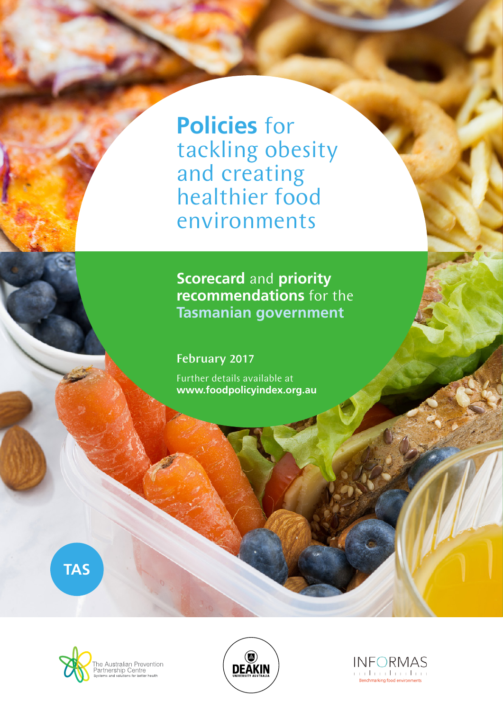**Policies** for tackling obesity and creating healthier food environments

**Scorecard** and **priority recommendations** for the **Tasmanian government**

February 2017

Further details available at **www.foodpolicyindex.org.au**

**TAS**





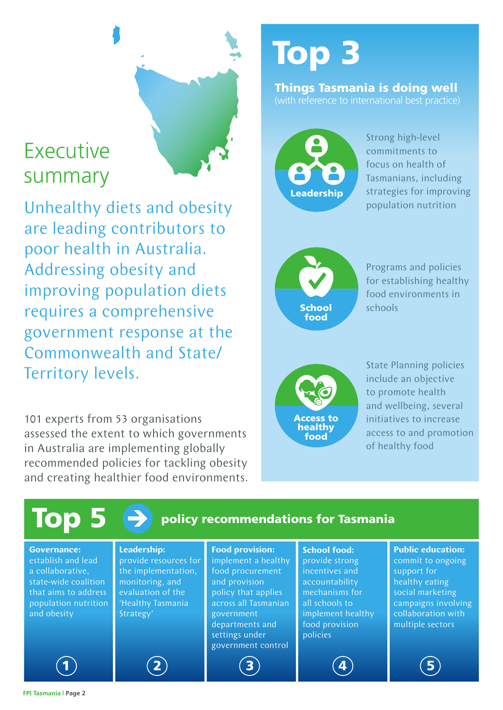## Executive summary

Unhealthy diets and obesity are leading contributors to poor health in Australia. Addressing obesity and improving population diets requires a comprehensive government response at the Commonwealth and State/ Territory levels.

101 experts from 53 organisations assessed the extent to which governments in Australia are implementing globally recommended policies for tackling obesity and creating healthier food environments.

# Top 3

#### Things Tasmania is doing well (with reference to international best practice)



Strong high-level commitments to focus on health of Tasmanians, including strategies for improving population nutrition



Programs and policies for establishing healthy food environments in schools



State Planning policies include an objective to promote health and wellbeing, several initiatives to increase access to and promotion of healthy food

| Top 5<br>$\rightarrow$<br>policy recommendations for Tasmania                                                                                       |                                                                                                                                              |                                                                                                                                                                                                            |                                                                                                                                                                  |                                                                                                                                                                     |
|-----------------------------------------------------------------------------------------------------------------------------------------------------|----------------------------------------------------------------------------------------------------------------------------------------------|------------------------------------------------------------------------------------------------------------------------------------------------------------------------------------------------------------|------------------------------------------------------------------------------------------------------------------------------------------------------------------|---------------------------------------------------------------------------------------------------------------------------------------------------------------------|
| <b>Governance:</b><br>establish and lead<br>a collaborative,<br>state-wide coalition<br>that aims to address<br>population nutrition<br>and obesity | <b>Leadership:</b><br>provide resources for<br>the implementation,<br>monitoring, and<br>evaluation of the<br>'Healthy Tasmania<br>Strategy' | <b>Food provision:</b><br>implement a healthy<br>food procurement<br>and provision<br>policy that applies<br>across all Tasmanian<br>government<br>departments and<br>settings under<br>government control | <b>School food:</b><br>provide strong<br>incentives and<br>accountability<br>mechanisms for<br>all schools to<br>implement healthy<br>food provision<br>policies | <b>Public education:</b><br>commit to ongoing<br>support for<br>healthy eating<br>social marketing<br>campaigns involving<br>collaboration with<br>multiple sectors |
| 1                                                                                                                                                   | $\overline{2}$                                                                                                                               |                                                                                                                                                                                                            | 4                                                                                                                                                                |                                                                                                                                                                     |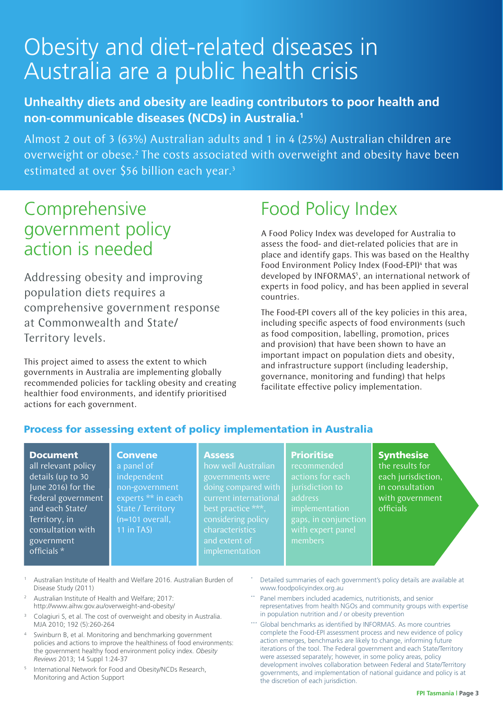## Obesity and diet-related diseases in Australia are a public health crisis

#### **Unhealthy diets and obesity are leading contributors to poor health and non-communicable diseases (NCDs) in Australia.1**

Almost 2 out of 3 (63%) Australian adults and 1 in 4 (25%) Australian children are overweight or obese.<sup>2</sup> The costs associated with overweight and obesity have been estimated at over \$56 billion each year.<sup>3</sup>

## Comprehensive government policy action is needed

Addressing obesity and improving population diets requires a comprehensive government response at Commonwealth and State/ Territory levels.

This project aimed to assess the extent to which governments in Australia are implementing globally recommended policies for tackling obesity and creating healthier food environments, and identify prioritised actions for each government.

> **Convene** a panel of independent non-government

State / Territory (n=101 overall, 11 in TAS)

## Food Policy Index

A Food Policy Index was developed for Australia to assess the food- and diet-related policies that are in place and identify gaps. This was based on the Healthy Food Environment Policy Index (Food-EPI)<sup>4</sup> that was developed by INFORMAS<sup>5</sup>, an international network of experts in food policy, and has been applied in several countries.

The Food-EPI covers all of the key policies in this area, including specific aspects of food environments (such as food composition, labelling, promotion, prices and provision) that have been shown to have an important impact on population diets and obesity, and infrastructure support (including leadership, governance, monitoring and funding) that helps facilitate effective policy implementation.

#### Process for assessing extent of policy implementation in Australia

#### Document

all relevant policy details (up to 30 June 2016) for the Federal government and each State/ Territory, in consultation with government officials \*

#### **Assess**

experts \*\* in each how well Australian governments were doing compared with best practice \*\*\*, considering policy characteristics implementation

#### **Prioritise**

recommended actions for each address implementation gaps, in conjunction members

#### **Synthesise**

the results for each jurisdiction, in consultation with government officials

- <sup>1</sup> Australian Institute of Health and Welfare 2016. Australian Burden of Disease Study (2011)
- <sup>2</sup> Australian Institute of Health and Welfare; 2017: http://www.aihw.gov.au/overweight-and-obesity/
- <sup>3</sup> Colagiuri S, et al. The cost of overweight and obesity in Australia. MJA 2010; 192 (5):260-264
- Swinburn B, et al. Monitoring and benchmarking government policies and actions to improve the healthiness of food environments: the government healthy food environment policy index. *Obesity Reviews* 2013; 14 Suppl 1:24-37
- <sup>5</sup> International Network for Food and Obesity/NCDs Research, Monitoring and Action Support
- Detailed summaries of each government's policy details are available at www.foodpolicyindex.org.au
- Panel members included academics, nutritionists, and senior representatives from health NGOs and community groups with expertise in population nutrition and / or obesity prevention
- Global benchmarks as identified by INFORMAS. As more countries complete the Food-EPI assessment process and new evidence of policy action emerges, benchmarks are likely to change, informing future iterations of the tool. The Federal government and each State/Territory were assessed separately; however, in some policy areas, policy development involves collaboration between Federal and State/Territory governments, and implementation of national guidance and policy is at the discretion of each jurisdiction.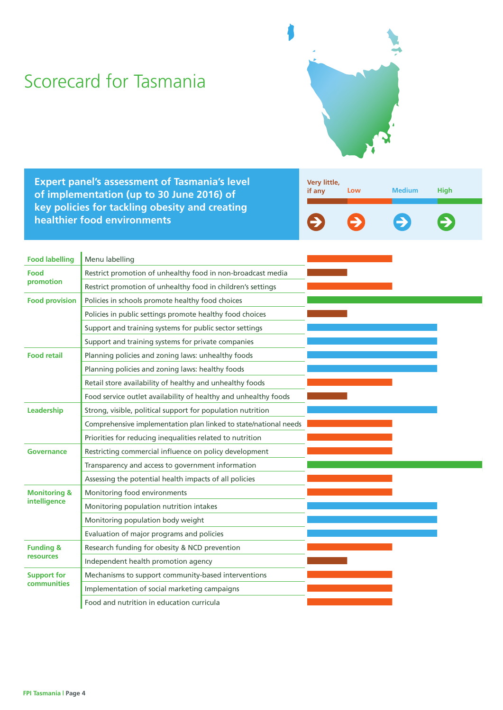## Scorecard for Tasmania



**Expert panel's assessment of Tasmania's level of implementation (up to 30 June 2016) of key policies for tackling obesity and creating healthier food environments**

| Very little,<br>if any | Low | <b>Medium</b> | <b>High</b>   |
|------------------------|-----|---------------|---------------|
| $\rightarrow$          |     | $\rightarrow$ | $\Rightarrow$ |

| <b>Food labelling</b>   | Menu labelling                                                   |  |
|-------------------------|------------------------------------------------------------------|--|
| Food                    | Restrict promotion of unhealthy food in non-broadcast media      |  |
| promotion               | Restrict promotion of unhealthy food in children's settings      |  |
| <b>Food provision</b>   | Policies in schools promote healthy food choices                 |  |
|                         | Policies in public settings promote healthy food choices         |  |
|                         | Support and training systems for public sector settings          |  |
|                         | Support and training systems for private companies               |  |
| <b>Food retail</b>      | Planning policies and zoning laws: unhealthy foods               |  |
|                         | Planning policies and zoning laws: healthy foods                 |  |
|                         | Retail store availability of healthy and unhealthy foods         |  |
|                         | Food service outlet availability of healthy and unhealthy foods  |  |
| Leadership              | Strong, visible, political support for population nutrition      |  |
|                         | Comprehensive implementation plan linked to state/national needs |  |
|                         | Priorities for reducing inequalities related to nutrition        |  |
| Governance              | Restricting commercial influence on policy development           |  |
|                         | Transparency and access to government information                |  |
|                         | Assessing the potential health impacts of all policies           |  |
| <b>Monitoring &amp;</b> | Monitoring food environments                                     |  |
| intelligence            | Monitoring population nutrition intakes                          |  |
|                         | Monitoring population body weight                                |  |
|                         | Evaluation of major programs and policies                        |  |
| <b>Funding &amp;</b>    | Research funding for obesity & NCD prevention                    |  |
| <b>resources</b>        | Independent health promotion agency                              |  |
| <b>Support for</b>      | Mechanisms to support community-based interventions              |  |
| <b>communities</b>      | Implementation of social marketing campaigns                     |  |
|                         | Food and nutrition in education curricula                        |  |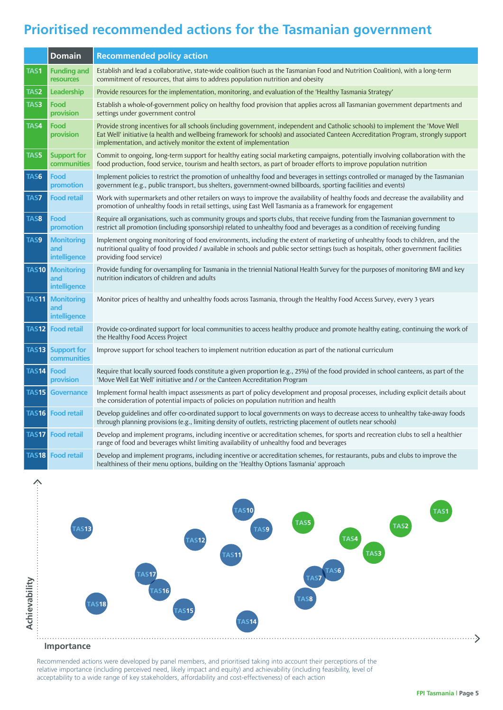#### **Prioritised recommended actions for the Tasmanian government**

|              | <b>Domain</b>                            | <b>Recommended policy action</b>                                                                                                                                                                                                                                                                                                          |
|--------------|------------------------------------------|-------------------------------------------------------------------------------------------------------------------------------------------------------------------------------------------------------------------------------------------------------------------------------------------------------------------------------------------|
| <b>TAS1</b>  | <b>Funding and</b><br>resources          | Establish and lead a collaborative, state-wide coalition (such as the Tasmanian Food and Nutrition Coalition), with a long-term<br>commitment of resources, that aims to address population nutrition and obesity                                                                                                                         |
| TAS2         | Leadership                               | Provide resources for the implementation, monitoring, and evaluation of the 'Healthy Tasmania Strategy'                                                                                                                                                                                                                                   |
| TAS3         | Food<br>provision                        | Establish a whole-of-government policy on healthy food provision that applies across all Tasmanian government departments and<br>settings under government control                                                                                                                                                                        |
| TAS4         | Food<br>provision                        | Provide strong incentives for all schools (including government, independent and Catholic schools) to implement the 'Move Well<br>Eat Well' initiative (a health and wellbeing framework for schools) and associated Canteen Accreditation Program, strongly support<br>implementation, and actively monitor the extent of implementation |
| TAS5         | <b>Support for</b><br>communities        | Commit to ongoing, long-term support for healthy eating social marketing campaigns, potentially involving collaboration with the<br>food production, food service, tourism and health sectors, as part of broader efforts to improve population nutrition                                                                                 |
| TAS6         | Food<br>promotion                        | Implement policies to restrict the promotion of unhealthy food and beverages in settings controlled or managed by the Tasmanian<br>government (e.g., public transport, bus shelters, government-owned billboards, sporting facilities and events)                                                                                         |
| TAS7         | <b>Food retail</b>                       | Work with supermarkets and other retailers on ways to improve the availability of healthy foods and decrease the availability and<br>promotion of unhealthy foods in retail settings, using East Well Tasmania as a framework for engagement                                                                                              |
| TAS8         | Food<br>promotion                        | Require all organisations, such as community groups and sports clubs, that receive funding from the Tasmanian government to<br>restrict all promotion (including sponsorship) related to unhealthy food and beverages as a condition of receiving funding                                                                                 |
| TAS9         | <b>Monitoring</b><br>and<br>intelligence | Implement ongoing monitoring of food environments, including the extent of marketing of unhealthy foods to children, and the<br>nutritional quality of food provided / available in schools and public sector settings (such as hospitals, other government facilities<br>providing food service)                                         |
| <b>TAS10</b> | <b>Monitoring</b><br>and<br>intelligence | Provide funding for oversampling for Tasmania in the triennial National Health Survey for the purposes of monitoring BMI and key<br>nutrition indicators of children and adults                                                                                                                                                           |
| <b>TAS11</b> | <b>Monitoring</b><br>and<br>intelligence | Monitor prices of healthy and unhealthy foods across Tasmania, through the Healthy Food Access Survey, every 3 years                                                                                                                                                                                                                      |
| <b>TAS12</b> | <b>Food retail</b>                       | Provide co-ordinated support for local communities to access healthy produce and promote healthy eating, continuing the work of<br>the Healthy Food Access Project                                                                                                                                                                        |
| <b>TAS13</b> | <b>Support for</b><br>communities        | Improve support for school teachers to implement nutrition education as part of the national curriculum                                                                                                                                                                                                                                   |
| <b>TAS14</b> | Food<br>provision                        | Require that locally sourced foods constitute a given proportion (e.g., 25%) of the food provided in school canteens, as part of the<br>'Move Well Eat Well' initiative and / or the Canteen Accreditation Program                                                                                                                        |
| <b>TAS15</b> | <b>Governance</b>                        | Implement formal health impact assessments as part of policy development and proposal processes, including explicit details about<br>the consideration of potential impacts of policies on population nutrition and health                                                                                                                |
|              | <b>TAS16</b> Food retail                 | Develop guidelines and offer co-ordinated support to local governments on ways to decrease access to unhealthy take-away foods<br>through planning provisions (e.g., limiting density of outlets, restricting placement of outlets near schools)                                                                                          |
|              | <b>TAS17</b> Food retail                 | Develop and implement programs, including incentive or accreditation schemes, for sports and recreation clubs to sell a healthier<br>range of food and beverages whilst limiting availability of unhealthy food and beverages                                                                                                             |
|              | <b>TAS18 Food retail</b>                 | Develop and implement programs, including incentive or accreditation schemes, for restaurants, pubs and clubs to improve the<br>healthiness of their menu options, building on the 'Healthy Options Tasmania' approach                                                                                                                    |



**Importance**

 $\hat{\cdot}$ 

Recommended actions were developed by panel members, and prioritised taking into account their perceptions of the relative importance (including perceived need, likely impact and equity) and achievability (including feasibility, level of acceptability to a wide range of key stakeholders, affordability and cost-effectiveness) of each action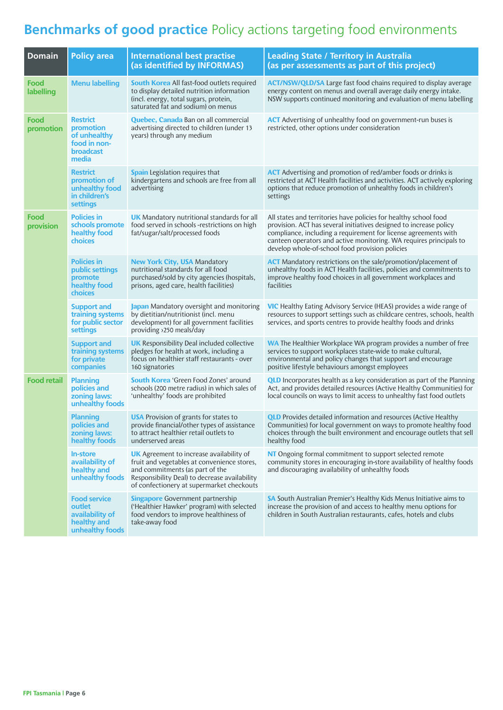### **Benchmarks of good practice** Policy actions targeting food environments

| <b>Domain</b>      | <b>Policy area</b>                                                                 | <b>International best practise</b><br>(as identified by INFORMAS)                                                                                                                                                               | <b>Leading State / Territory in Australia</b><br>(as per assessments as part of this project)                                                                                                                                                                                                                                      |
|--------------------|------------------------------------------------------------------------------------|---------------------------------------------------------------------------------------------------------------------------------------------------------------------------------------------------------------------------------|------------------------------------------------------------------------------------------------------------------------------------------------------------------------------------------------------------------------------------------------------------------------------------------------------------------------------------|
| Food<br>labelling  | <b>Menu labelling</b>                                                              | <b>South Korea</b> All fast-food outlets required<br>to display detailed nutrition information<br>(incl. energy, total sugars, protein,<br>saturated fat and sodium) on menus                                                   | <b>ACT/NSW/QLD/SA</b> Large fast food chains required to display average<br>energy content on menus and overall average daily energy intake.<br>NSW supports continued monitoring and evaluation of menu labelling                                                                                                                 |
| Food<br>promotion  | <b>Restrict</b><br>promotion<br>of unhealthy<br>food in non-<br>broadcast<br>media | <b>Quebec, Canada</b> Ban on all commercial<br>advertising directed to children (under 13<br>years) through any medium                                                                                                          | <b>ACT</b> Advertising of unhealthy food on government-run buses is<br>restricted, other options under consideration                                                                                                                                                                                                               |
|                    | <b>Restrict</b><br>promotion of<br>unhealthy food<br>in children's<br>settings     | <b>Spain</b> Legislation requires that<br>kindergartens and schools are free from all<br>advertising                                                                                                                            | <b>ACT</b> Advertising and promotion of red/amber foods or drinks is<br>restricted at ACT Health facilities and activities. ACT actively exploring<br>options that reduce promotion of unhealthy foods in children's<br>settings                                                                                                   |
| Food<br>provision  | <b>Policies in</b><br>schools promote<br>healthy food<br>choices                   | <b>UK</b> Mandatory nutritional standards for all<br>food served in schools -restrictions on high<br>fat/sugar/salt/processed foods                                                                                             | All states and territories have policies for healthy school food<br>provision. ACT has several initiatives designed to increase policy<br>compliance, including a requirement for license agreements with<br>canteen operators and active monitoring. WA requires principals to<br>develop whole-of-school food provision policies |
|                    | <b>Policies in</b><br>public settings<br>promote<br>healthy food<br><b>choices</b> | <b>New York City, USA Mandatory</b><br>nutritional standards for all food<br>purchased/sold by city agencies (hospitals,<br>prisons, aged care, health facilities)                                                              | <b>ACT</b> Mandatory restrictions on the sale/promotion/placement of<br>unhealthy foods in ACT Health facilities, policies and commitments to<br>improve healthy food choices in all government workplaces and<br>facilities                                                                                                       |
|                    | <b>Support and</b><br>training systems<br>for public sector<br>settings            | Japan Mandatory oversight and monitoring<br>by dietitian/nutritionist (incl. menu<br>development) for all government facilities<br>providing >250 meals/day                                                                     | <b>VIC</b> Healthy Eating Advisory Service (HEAS) provides a wide range of<br>resources to support settings such as childcare centres, schools, health<br>services, and sports centres to provide healthy foods and drinks                                                                                                         |
|                    | <b>Support and</b><br>training systems<br>for private<br>companies                 | <b>UK</b> Responsibility Deal included collective<br>pledges for health at work, including a<br>focus on healthier staff restaurants - over<br>160 signatories                                                                  | <b>WA</b> The Healthier Workplace WA program provides a number of free<br>services to support workplaces state-wide to make cultural,<br>environmental and policy changes that support and encourage<br>positive lifestyle behaviours amongst employees                                                                            |
| <b>Food retail</b> | <b>Planning</b><br>policies and<br>zoning laws:<br>unhealthy foods                 | <b>South Korea</b> 'Green Food Zones' around<br>schools (200 metre radius) in which sales of<br>'unhealthy' foods are prohibited                                                                                                | <b>QLD</b> Incorporates health as a key consideration as part of the Planning<br>Act, and provides detailed resources (Active Healthy Communities) for<br>local councils on ways to limit access to unhealthy fast food outlets                                                                                                    |
|                    | <b>Planning</b><br>policies and<br>zoning laws:<br>healthy foods                   | <b>USA</b> Provision of grants for states to<br>provide financial/other types of assistance<br>to attract healthier retail outlets to<br>underserved areas                                                                      | <b>QLD</b> Provides detailed information and resources (Active Healthy<br>Communities) for local government on ways to promote healthy food<br>choices through the built environment and encourage outlets that sell<br>healthy food                                                                                               |
|                    | <b>In-store</b><br>availability of<br>healthy and<br>unhealthy foods               | <b>UK</b> Agreement to increase availability of<br>fruit and vegetables at convenience stores,<br>and commitments (as part of the<br>Responsibility Deal) to decrease availability<br>of confectionery at supermarket checkouts | NT Ongoing formal commitment to support selected remote<br>community stores in encouraging in-store availability of healthy foods<br>and discouraging availability of unhealthy foods                                                                                                                                              |
|                    | <b>Food service</b><br>outlet<br>availability of<br>healthy and<br>unhealthy foods | <b>Singapore</b> Government partnership<br>('Healthier Hawker' program) with selected<br>food vendors to improve healthiness of<br>take-away food                                                                               | SA South Australian Premier's Healthy Kids Menus Initiative aims to<br>increase the provision of and access to healthy menu options for<br>children in South Australian restaurants, cafes, hotels and clubs                                                                                                                       |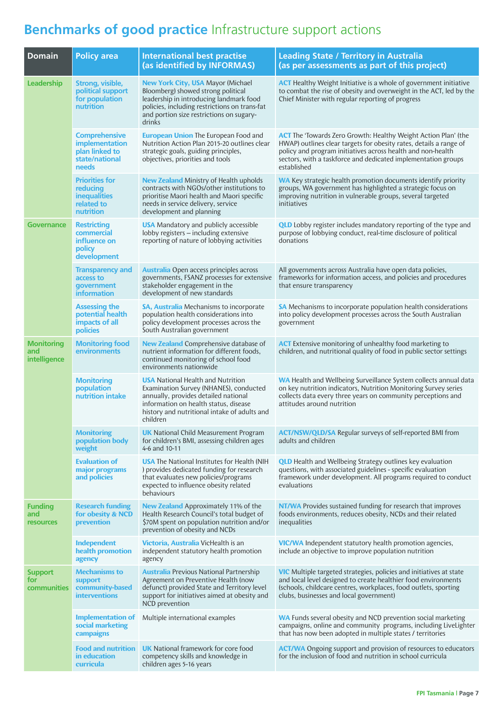## **Benchmarks of good practice** Infrastructure support actions

| <b>Domain</b>                             | <b>Policy area</b>                                                                  | <b>International best practise</b><br>(as identified by INFORMAS)                                                                                                                                                                | <b>Leading State / Territory in Australia</b><br>(as per assessments as part of this project)                                                                                                                                                                                              |
|-------------------------------------------|-------------------------------------------------------------------------------------|----------------------------------------------------------------------------------------------------------------------------------------------------------------------------------------------------------------------------------|--------------------------------------------------------------------------------------------------------------------------------------------------------------------------------------------------------------------------------------------------------------------------------------------|
| Leadership                                | Strong, visible,<br>political support<br>for population<br>nutrition                | <b>New York City, USA Mayor (Michael</b><br>Bloomberg) showed strong political<br>leadership in introducing landmark food<br>policies, including restrictions on trans-fat<br>and portion size restrictions on sugary-<br>drinks | <b>ACT</b> Healthy Weight Initiative is a whole of government initiative<br>to combat the rise of obesity and overweight in the ACT, led by the<br>Chief Minister with regular reporting of progress                                                                                       |
|                                           | <b>Comprehensive</b><br>implementation<br>plan linked to<br>state/national<br>needs | <b>European Union The European Food and</b><br>Nutrition Action Plan 2015-20 outlines clear<br>strategic goals, guiding principles,<br>objectives, priorities and tools                                                          | <b>ACT</b> The 'Towards Zero Growth: Healthy Weight Action Plan' (the<br>HWAP) outlines clear targets for obesity rates, details a range of<br>policy and program initiatives across health and non-health<br>sectors, with a taskforce and dedicated implementation groups<br>established |
|                                           | <b>Priorities for</b><br>reducing<br><b>inequalities</b><br>related to<br>nutrition | <b>New Zealand</b> Ministry of Health upholds<br>contracts with NGOs/other institutions to<br>prioritise Maori health and Maori specific<br>needs in service delivery, service<br>development and planning                       | <b>WA</b> Key strategic health promotion documents identify priority<br>groups, WA government has highlighted a strategic focus on<br>improving nutrition in vulnerable groups, several targeted<br>initiatives                                                                            |
| <b>Governance</b>                         | <b>Restricting</b><br>commercial<br>influence on<br>policy<br>development           | <b>USA</b> Mandatory and publicly accessible<br>lobby registers - including extensive<br>reporting of nature of lobbying activities                                                                                              | <b>QLD</b> Lobby register includes mandatory reporting of the type and<br>purpose of lobbying conduct, real-time disclosure of political<br>donations                                                                                                                                      |
|                                           | <b>Transparency and</b><br>access to<br>government<br><b>information</b>            | <b>Australia</b> Open access principles across<br>governments, FSANZ processes for extensive<br>stakeholder engagement in the<br>development of new standards                                                                    | All governments across Australia have open data policies,<br>frameworks for information access, and policies and procedures<br>that ensure transparency                                                                                                                                    |
|                                           | <b>Assessing the</b><br>potential health<br>impacts of all<br>policies              | <b>SA, Australia</b> Mechanisms to incorporate<br>population health considerations into<br>policy development processes across the<br>South Australian government                                                                | SA Mechanisms to incorporate population health considerations<br>into policy development processes across the South Australian<br>government                                                                                                                                               |
| <b>Monitoring</b><br>and<br>intelligence  | <b>Monitoring food</b><br>environments                                              | <b>New Zealand</b> Comprehensive database of<br>nutrient information for different foods,<br>continued monitoring of school food<br>environments nationwide                                                                      | <b>ACT</b> Extensive monitoring of unhealthy food marketing to<br>children, and nutritional quality of food in public sector settings                                                                                                                                                      |
|                                           | <b>Monitoring</b><br>population<br>nutrition intake                                 | <b>USA</b> National Health and Nutrition<br>Examination Survey (NHANES), conducted<br>annually, provides detailed national<br>information on health status, disease<br>history and nutritional intake of adults and<br>children  | WA Health and Wellbeing Surveillance System collects annual data<br>on key nutrition indicators, Nutrition Monitoring Survey series<br>collects data every three years on community perceptions and<br>attitudes around nutrition                                                          |
|                                           | <b>Monitoring</b><br>population body<br>weight                                      | <b>UK</b> National Child Measurement Program<br>for children's BMI, assessing children ages<br>4-6 and 10-11                                                                                                                     | <b>ACT/NSW/QLD/SA</b> Regular surveys of self-reported BMI from<br>adults and children                                                                                                                                                                                                     |
|                                           | <b>Evaluation of</b><br>major programs<br>and policies                              | <b>USA</b> The National Institutes for Health (NIH<br>) provides dedicated funding for research<br>that evaluates new policies/programs<br>expected to influence obesity related<br>behaviours                                   | <b>QLD</b> Health and Wellbeing Strategy outlines key evaluation<br>questions, with associated guidelines - specific evaluation<br>framework under development. All programs required to conduct<br>evaluations                                                                            |
| <b>Funding</b><br>and<br><b>resources</b> | <b>Research funding</b><br>for obesity & NCD<br>prevention                          | New Zealand Approximately 11% of the<br>Health Research Council's total budget of<br>\$70M spent on population nutrition and/or<br>prevention of obesity and NCDs                                                                | <b>NT/WA</b> Provides sustained funding for research that improves<br>foods environments, reduces obesity, NCDs and their related<br>inequalities                                                                                                                                          |
|                                           | Independent<br>health promotion<br>agency                                           | Victoria, Australia VicHealth is an<br>independent statutory health promotion<br>agency                                                                                                                                          | <b>VIC/WA</b> Independent statutory health promotion agencies,<br>include an objective to improve population nutrition                                                                                                                                                                     |
| <b>Support</b><br>for<br>communities      | <b>Mechanisms to</b><br>support<br>community-based<br><b>interventions</b>          | <b>Australia</b> Previous National Partnership<br>Agreement on Preventive Health (now<br>defunct) provided State and Territory level<br>support for initiatives aimed at obesity and<br>NCD prevention                           | <b>VIC</b> Multiple targeted strategies, policies and initiatives at state<br>and local level designed to create healthier food environments<br>(schools, childcare centres, workplaces, food outlets, sporting<br>clubs, businesses and local government)                                 |
|                                           | <b>Implementation of</b><br>social marketing<br>campaigns                           | Multiple international examples                                                                                                                                                                                                  | WA Funds several obesity and NCD prevention social marketing<br>campaigns, online and community programs, including LiveLighter<br>that has now been adopted in multiple states / territories                                                                                              |
|                                           | <b>Food and nutrition</b><br>in education<br>curricula                              | <b>UK</b> National framework for core food<br>competency skills and knowledge in<br>children ages 5-16 years                                                                                                                     | <b>ACT/WA</b> Ongoing support and provision of resources to educators<br>for the inclusion of food and nutrition in school curricula                                                                                                                                                       |